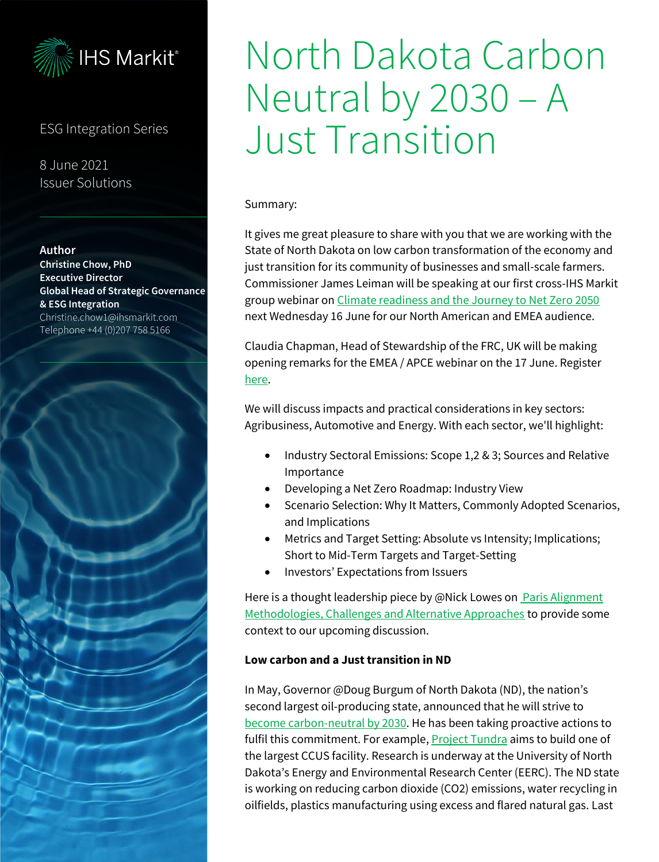

## ESG Integration Series

8 June 2021 Issuer Solutions

#### **Author**

**Christine Chow, PhD Executive Director Global Head of Strategic Governance & ESG Integration** Christine.chow1@ihsmarkit.com Telephone +44 (0)207 758 5166



# North Dakota Carbon Neutral by 2030 – A Just Transition

Summary:

It gives me great pleasure to share with you that we are working with the State of North Dakota on low carbon transformation of the economy and just transition for its community of businesses and small-scale farmers. Commissioner James Leiman will be speaking at our first cross-IHS Markit group webinar o[n Climate readiness and the Journey to Net Zero 2050](https://ihsmarkit.com/events/climate-risk-disclosures-and-the-road-to-netzero/overview.html) next Wednesday 16 June for our North American and EMEA audience.

Claudia Chapman, Head of Stewardship of the FRC, UK will be making opening remarks for the EMEA / APCE webinar on the 17 June. Register [here.](https://ihsmarkit.com/events/climate-risk-disclosures-and-the-road-to-netzero/overview.html)

We will discuss impacts and practical considerations in key sectors: Agribusiness, Automotive and Energy. With each sector, we'll highlight:

- Industry Sectoral Emissions: Scope 1,2 & 3; Sources and Relative Importance
- Developing a Net Zero Roadmap: Industry View
- Scenario Selection: Why It Matters, Commonly Adopted Scenarios, and Implications
- Metrics and Target Setting: Absolute vs Intensity; Implications; Short to Mid-Term Targets and Target-Setting
- Investors' Expectations from Issuers

Here is a thought leadership piece by @Nick Lowes on **Paris Alignment** [Methodologies, Challenges and Alternative Approaches](https://ihsmarkit.com/research-analysis/paris-alignment-methodologies-challenges-and-alternative-appro.html) to provide some context to our upcoming discussion.

#### **Low carbon and a Just transition in ND**

In May, Governor @Doug Burgum of North Dakota (ND), the nation's second largest oil-producing state, announced that he will strive to [become carbon-neutral by 2030.](https://www.naturalgasintel.com/north-dakota-governor-sets-carbon-neutral-goal-by-2030/) He has been taking proactive actions to fulfil this commitment. For example, **Project Tundra** aims to build one of the largest CCUS facility. Research is underway at the University of North Dakota's Energy and Environmental Research Center (EERC). The ND state is working on reducing carbon dioxide (CO2) emissions, water recycling in oilfields, plastics manufacturing using excess and flared natural gas. Last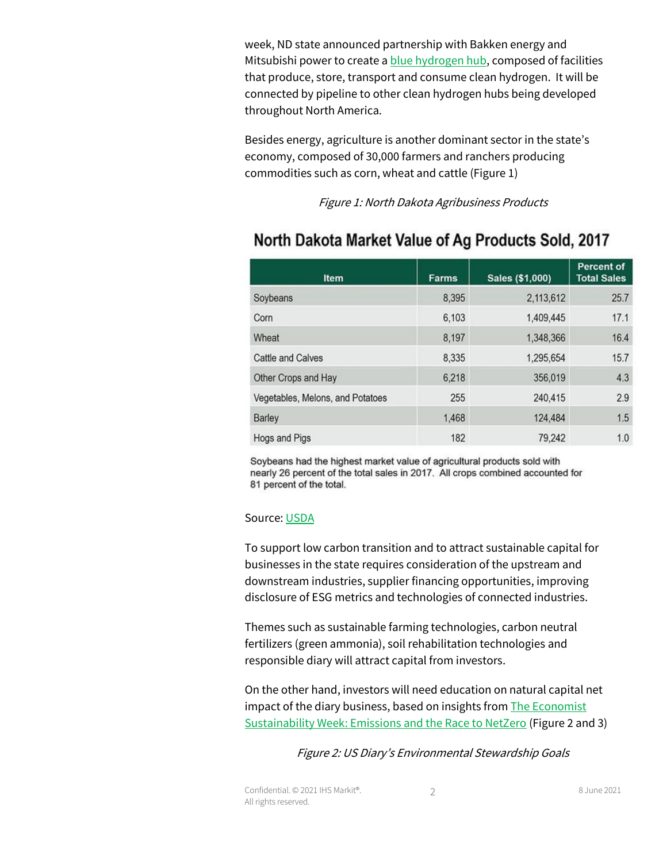week, ND state announced partnership with Bakken energy and Mitsubishi power to create [a blue hydrogen hub,](https://www.governor.nd.gov/news/burgum-joins-bakken-energy-mitsubishi-power-announcing-partnership-create-hydrogen-hub-nd) composed of facilities that produce, store, transport and consume clean hydrogen. It will be connected by pipeline to other clean hydrogen hubs being developed throughout North America.

Besides energy, agriculture is another dominant sector in the state's economy, composed of 30,000 farmers and ranchers producing commodities such as corn, wheat and cattle (Figure 1)

Figure 1: North Dakota Agribusiness Products

| <b>Item</b>                      | <b>Farms</b> | Sales (\$1,000) | <b>Percent of</b><br><b>Total Sales</b> |
|----------------------------------|--------------|-----------------|-----------------------------------------|
| Soybeans                         | 8,395        | 2,113,612       | 25.7                                    |
| Corn                             | 6,103        | 1,409,445       | 17.1                                    |
| Wheat                            | 8,197        | 1,348,366       | 16.4                                    |
| Cattle and Calves                | 8,335        | 1,295,654       | 15.7                                    |
| Other Crops and Hay              | 6,218        | 356,019         | 4.3                                     |
| Vegetables, Melons, and Potatoes | 255          | 240,415         | 2.9                                     |
| Barley                           | 1,468        | 124,484         | 1.5                                     |
| Hogs and Pigs                    | 182          | 79,242          | 1.0                                     |

# North Dakota Market Value of Ag Products Sold, 2017

Soybeans had the highest market value of agricultural products sold with nearly 26 percent of the total sales in 2017. All crops combined accounted for 81 percent of the total.

#### Source[: USDA](https://www.usda.gov/media/blog/2019/08/23/north-dakota-agriculture-one-word-diverse#:~:text=In%202017%2C%20North%20Dakota%20led,%2C%20all%20wheat%2C%20and%20sunflowers.)

To support low carbon transition and to attract sustainable capital for businesses in the state requires consideration of the upstream and downstream industries, supplier financing opportunities, improving disclosure of ESG metrics and technologies of connected industries.

Themes such as sustainable farming technologies, carbon neutral fertilizers (green ammonia), soil rehabilitation technologies and responsible diary will attract capital from investors.

On the other hand, investors will need education on natural capital net impact of the diary business, based on insights fro[m The Economist](https://events.economist.com/sustainability-week/agenda/)  [Sustainability Week: Emissions and the Race to NetZero](https://events.economist.com/sustainability-week/agenda/) (Figure 2 and 3)

Figure 2: US Diary's Environmental Stewardship Goals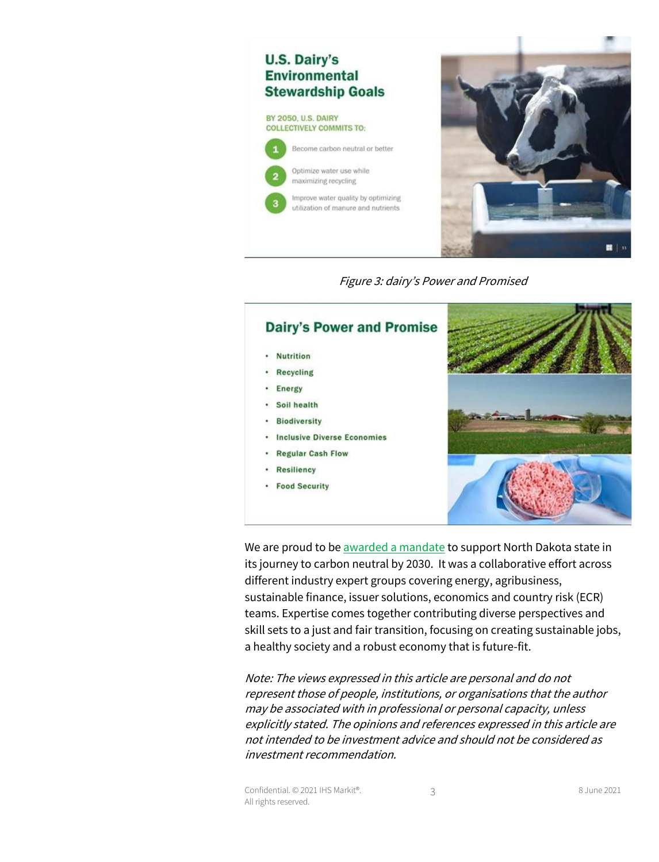

Figure 3: dairy's Power and Promised



We are proud to b[e awarded a mandate](https://apps.nd.gov/csd/spo/services/bidder/displaySolicitation.htm?solNo=110.7-21-014) to support North Dakota state in its journey to carbon neutral by 2030. It was a collaborative effort across different industry expert groups covering energy, agribusiness, sustainable finance, issuer solutions, economics and country risk (ECR) teams. Expertise comes together contributing diverse perspectives and skill sets to a just and fair transition, focusing on creating sustainable jobs, a healthy society and a robust economy that is future-fit.

Note: The views expressed in this article are personal and do not represent those of people, institutions, or organisations that the author may be associated with in professional or personal capacity, unless explicitly stated. The opinions and references expressed in this article are not intended to be investment advice and should not be considered as investment recommendation.